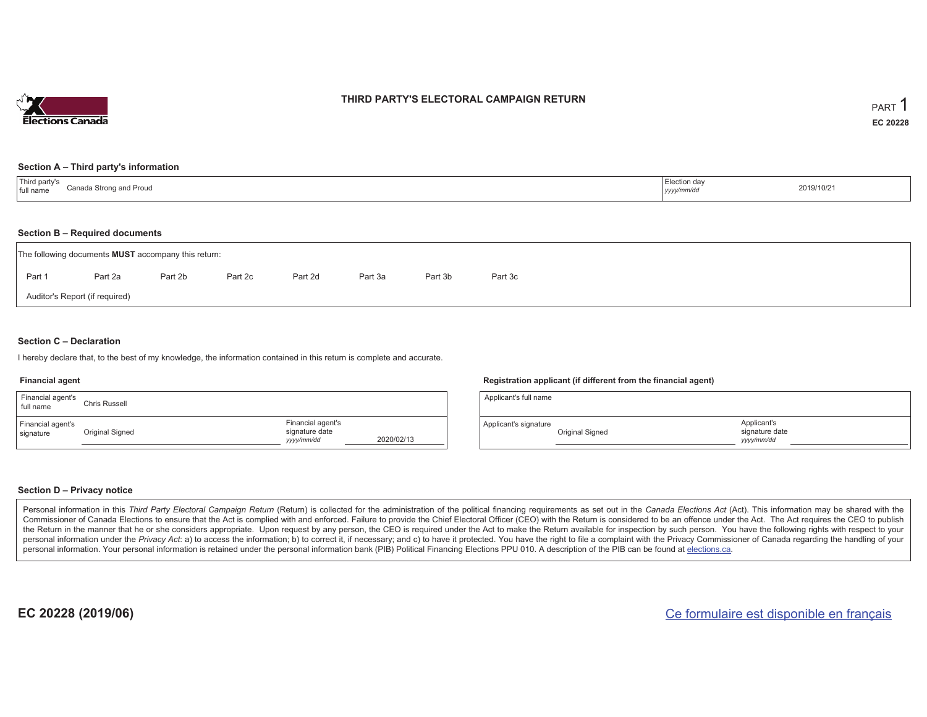

### **THIRD PARTY'S ELECTORAL CAMPAIGN RETURN**

### **Section A – Third party's information**

| Third party's<br>Canada Strong and Proud<br>full name | Election day<br>yyyy/mm/dd | 2019/10/21 |
|-------------------------------------------------------|----------------------------|------------|
|-------------------------------------------------------|----------------------------|------------|

### **Section B – Required documents**

| The following documents <b>MUST</b> accompany this return: |                                |         |         |         |         |         |         |  |  |  |  |
|------------------------------------------------------------|--------------------------------|---------|---------|---------|---------|---------|---------|--|--|--|--|
| Part 1                                                     | Part 2a                        | Part 2b | Part 2c | Part 2d | Part 3a | Part 3b | Part 3c |  |  |  |  |
|                                                            | Auditor's Report (if required) |         |         |         |         |         |         |  |  |  |  |

### **Section C – Declaration**

I hereby declare that, to the best of my knowledge, the information contained in this return is complete and accurate.

### **Financial agent**

| Financial agent's<br>full name | Chris Russell   |                                                   |            |
|--------------------------------|-----------------|---------------------------------------------------|------------|
| Financial agent's<br>signature | Original Signed | Financial agent's<br>signature date<br>yyyy/mm/dd | 2020/02/13 |

### **Registration applicant (if different from the financial agent)**

| Applicant's full name |                 |                                             |
|-----------------------|-----------------|---------------------------------------------|
| Applicant's signature | Original Signed | Applicant's<br>signature date<br>yyyy/mm/dd |

### **Section D – Privacy notice**

Personal information in this Third Party Electoral Campaign Return (Return) is collected for the administration of the political financing requirements as set out in the Canada Elections Act (Act). This information may be Commissioner of Canada Elections to ensure that the Act is complied with and enforced. Failure to provide the Chief Electoral Officer (CEO) with the Return is considered to be an offence under the Act. The Act requires the the Return in the manner that he or she considers appropriate. Upon request by any person, the CEO is required under the Act to make the Return available for inspection by such person. You have the following rights with re personal information under the Privacy Act: a) to access the information; b) to correct it, if necessary; and c) to have it protected. You have the right to file a complaint with the Privacy Commissioner of Canada regardin personal information. Your personal information is retained under the personal information bank (PIB) Political Financing Elections PPU 010. A description of the PIB can be found at elections.ca.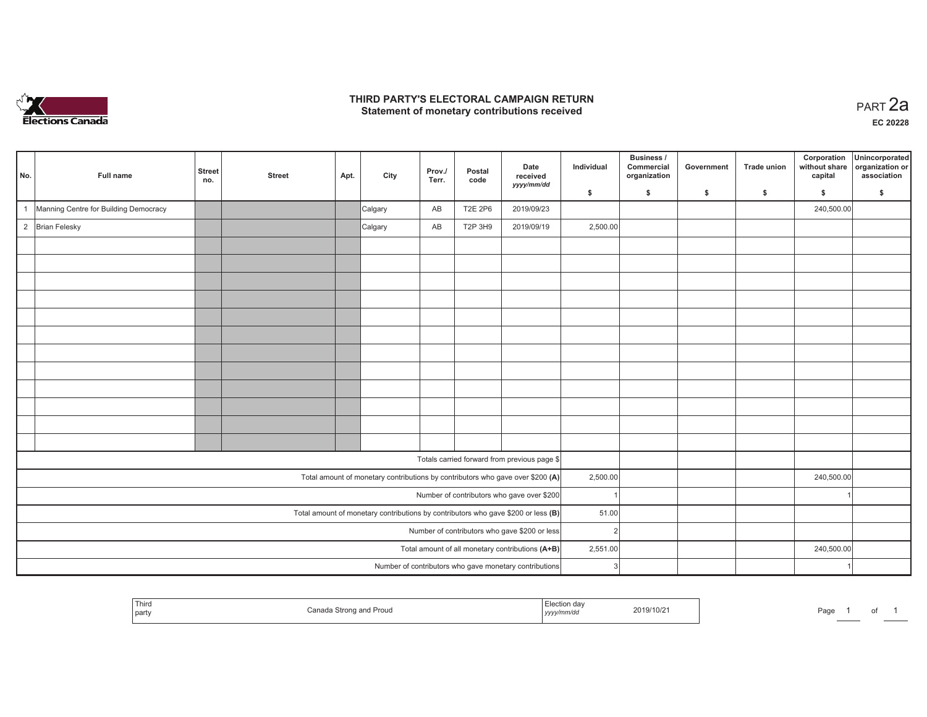

### **THIRD PARTY'S ELECTORAL CAMPAIGN RETURN HIRD PARTY'S ELECTORAL CAMPAIGN RETURN<br>Statement of monetary contributions received PART 2a**

| No. | Full name                                     | <b>Street</b><br>no.                                                              | <b>Street</b> | Apt. | City    | Prov./<br>Terr. | Postal<br>code | Date<br>received<br>yyyy/mm/dd                                                 | Individual | Business /<br>Commercial<br>organization | Government | <b>Trade union</b> | Corporation<br>without share<br>capital | Unincorporated<br>organization or<br>association |
|-----|-----------------------------------------------|-----------------------------------------------------------------------------------|---------------|------|---------|-----------------|----------------|--------------------------------------------------------------------------------|------------|------------------------------------------|------------|--------------------|-----------------------------------------|--------------------------------------------------|
|     |                                               |                                                                                   |               |      |         |                 |                |                                                                                | \$         | \$                                       | \$         | $\mathbf{s}$       | \$                                      | \$                                               |
|     | Manning Centre for Building Democracy         |                                                                                   |               |      | Calgary | AB              | <b>T2E 2P6</b> | 2019/09/23                                                                     |            |                                          |            |                    | 240,500.00                              |                                                  |
|     | 2 Brian Felesky                               |                                                                                   |               |      | Calgary | AB              | T2P 3H9        | 2019/09/19                                                                     | 2,500.00   |                                          |            |                    |                                         |                                                  |
|     |                                               |                                                                                   |               |      |         |                 |                |                                                                                |            |                                          |            |                    |                                         |                                                  |
|     |                                               |                                                                                   |               |      |         |                 |                |                                                                                |            |                                          |            |                    |                                         |                                                  |
|     |                                               |                                                                                   |               |      |         |                 |                |                                                                                |            |                                          |            |                    |                                         |                                                  |
|     |                                               |                                                                                   |               |      |         |                 |                |                                                                                |            |                                          |            |                    |                                         |                                                  |
|     |                                               |                                                                                   |               |      |         |                 |                |                                                                                |            |                                          |            |                    |                                         |                                                  |
|     |                                               |                                                                                   |               |      |         |                 |                |                                                                                |            |                                          |            |                    |                                         |                                                  |
|     |                                               |                                                                                   |               |      |         |                 |                |                                                                                |            |                                          |            |                    |                                         |                                                  |
|     |                                               |                                                                                   |               |      |         |                 |                |                                                                                |            |                                          |            |                    |                                         |                                                  |
|     |                                               |                                                                                   |               |      |         |                 |                |                                                                                |            |                                          |            |                    |                                         |                                                  |
|     |                                               |                                                                                   |               |      |         |                 |                |                                                                                |            |                                          |            |                    |                                         |                                                  |
|     |                                               |                                                                                   |               |      |         |                 |                |                                                                                |            |                                          |            |                    |                                         |                                                  |
|     |                                               |                                                                                   |               |      |         |                 |                |                                                                                |            |                                          |            |                    |                                         |                                                  |
|     |                                               |                                                                                   |               |      |         |                 |                | Totals carried forward from previous page \$                                   |            |                                          |            |                    |                                         |                                                  |
|     |                                               |                                                                                   |               |      |         |                 |                | Total amount of monetary contributions by contributors who gave over \$200 (A) | 2,500.00   |                                          |            |                    | 240,500.00                              |                                                  |
|     |                                               |                                                                                   |               |      |         |                 |                | Number of contributors who gave over \$200                                     |            |                                          |            |                    |                                         |                                                  |
|     |                                               | Total amount of monetary contributions by contributors who gave \$200 or less (B) | 51.00         |      |         |                 |                |                                                                                |            |                                          |            |                    |                                         |                                                  |
|     | Number of contributors who gave \$200 or less |                                                                                   |               |      |         |                 |                |                                                                                |            | $\overline{2}$                           |            |                    |                                         |                                                  |
|     |                                               | Total amount of all monetary contributions (A+B)<br>2,551.00                      |               |      |         | 240,500.00      |                |                                                                                |            |                                          |            |                    |                                         |                                                  |
|     |                                               |                                                                                   |               |      |         |                 |                | Number of contributors who gave monetary contributions                         | 3          |                                          |            |                    |                                         |                                                  |

|  | Third<br>party | P<br>Proud<br>з апы<br>그 사람들은 아이들은 아이들이 아이들이 아이들이 어려워 주었다. | tion da <sup>,</sup><br>yyyy/mm/aa | 019/10/21 | Page |  | υı |  |
|--|----------------|------------------------------------------------------------|------------------------------------|-----------|------|--|----|--|
|--|----------------|------------------------------------------------------------|------------------------------------|-----------|------|--|----|--|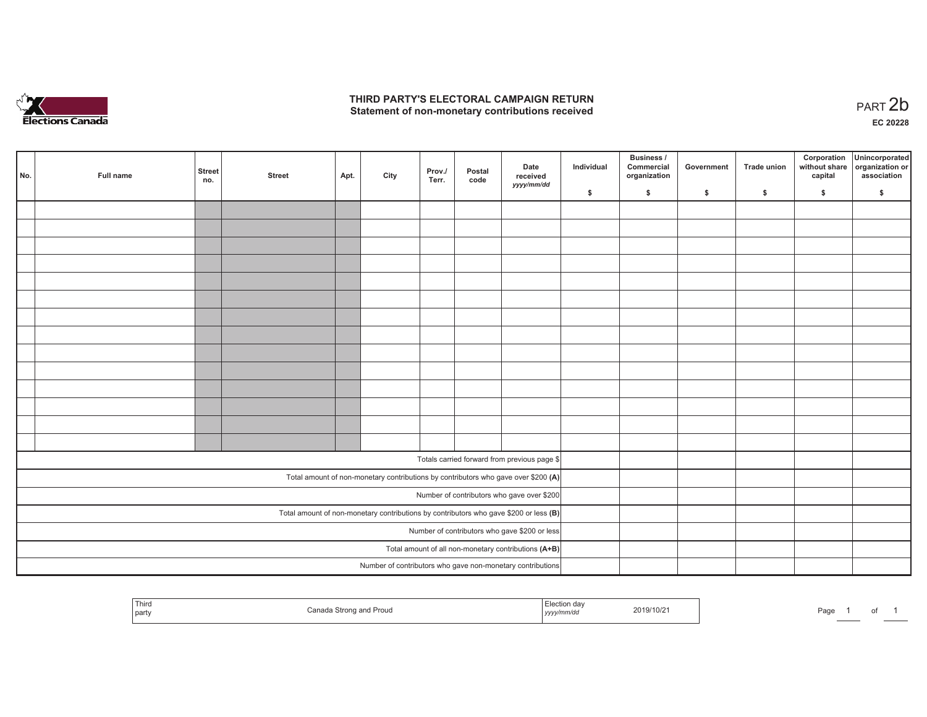

### **THIRD PARTY'S ELECTORAL CAMPAIGN RETURN**  THIRD PARTY'S ELECTORAL CAMPAIGN RETURN<br>Statement of non-monetary contributions received

1 of 1

| No.                                                  | Full name | <b>Street</b><br>no. | <b>Street</b> | Apt. | City | Prov./<br>Terr. | Postal<br>code | Date<br>received<br>yyyy/mm/dd                                                          | Individual | <b>Business /</b><br>Commercial<br>organization | Government | Trade union | Corporation<br>capital | Unincorporated<br>without share organization or<br>association |
|------------------------------------------------------|-----------|----------------------|---------------|------|------|-----------------|----------------|-----------------------------------------------------------------------------------------|------------|-------------------------------------------------|------------|-------------|------------------------|----------------------------------------------------------------|
|                                                      |           |                      |               |      |      |                 |                |                                                                                         | \$         | \$                                              | \$         | \$          | \$                     | \$                                                             |
|                                                      |           |                      |               |      |      |                 |                |                                                                                         |            |                                                 |            |             |                        |                                                                |
|                                                      |           |                      |               |      |      |                 |                |                                                                                         |            |                                                 |            |             |                        |                                                                |
|                                                      |           |                      |               |      |      |                 |                |                                                                                         |            |                                                 |            |             |                        |                                                                |
|                                                      |           |                      |               |      |      |                 |                |                                                                                         |            |                                                 |            |             |                        |                                                                |
|                                                      |           |                      |               |      |      |                 |                |                                                                                         |            |                                                 |            |             |                        |                                                                |
|                                                      |           |                      |               |      |      |                 |                |                                                                                         |            |                                                 |            |             |                        |                                                                |
|                                                      |           |                      |               |      |      |                 |                |                                                                                         |            |                                                 |            |             |                        |                                                                |
|                                                      |           |                      |               |      |      |                 |                |                                                                                         |            |                                                 |            |             |                        |                                                                |
|                                                      |           |                      |               |      |      |                 |                |                                                                                         |            |                                                 |            |             |                        |                                                                |
|                                                      |           |                      |               |      |      |                 |                |                                                                                         |            |                                                 |            |             |                        |                                                                |
|                                                      |           |                      |               |      |      |                 |                |                                                                                         |            |                                                 |            |             |                        |                                                                |
|                                                      |           |                      |               |      |      |                 |                |                                                                                         |            |                                                 |            |             |                        |                                                                |
|                                                      |           |                      |               |      |      |                 |                |                                                                                         |            |                                                 |            |             |                        |                                                                |
|                                                      |           |                      |               |      |      |                 |                |                                                                                         |            |                                                 |            |             |                        |                                                                |
|                                                      |           |                      |               |      |      |                 |                | Totals carried forward from previous page \$                                            |            |                                                 |            |             |                        |                                                                |
|                                                      |           |                      |               |      |      |                 |                |                                                                                         |            |                                                 |            |             |                        |                                                                |
|                                                      |           |                      |               |      |      |                 |                | Total amount of non-monetary contributions by contributors who gave over \$200 (A)      |            |                                                 |            |             |                        |                                                                |
|                                                      |           |                      |               |      |      |                 |                | Number of contributors who gave over \$200                                              |            |                                                 |            |             |                        |                                                                |
|                                                      |           |                      |               |      |      |                 |                | Total amount of non-monetary contributions by contributors who gave \$200 or less $(B)$ |            |                                                 |            |             |                        |                                                                |
| Number of contributors who gave \$200 or less        |           |                      |               |      |      |                 |                |                                                                                         |            |                                                 |            |             |                        |                                                                |
| Total amount of all non-monetary contributions (A+B) |           |                      |               |      |      |                 |                |                                                                                         |            |                                                 |            |             |                        |                                                                |
|                                                      |           |                      |               |      |      |                 |                | Number of contributors who gave non-monetary contributions                              |            |                                                 |            |             |                        |                                                                |

| <sup>1</sup> Thira<br>l partv | ' Proud<br>∵anada Strong<br>nnA<br>i anu<br>. | ction davٽٽ<br>2019/10/21<br>mwac<br>,,,,, | Page |
|-------------------------------|-----------------------------------------------|--------------------------------------------|------|
|-------------------------------|-----------------------------------------------|--------------------------------------------|------|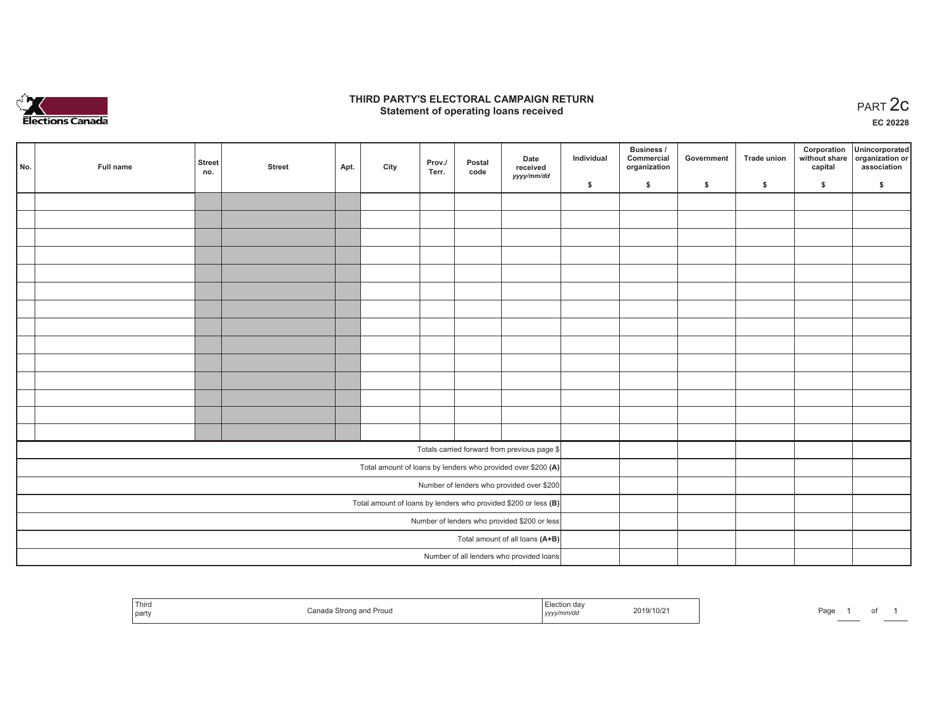

### **THIRD PARTY'S ELECTORAL CAMPAIGN RETURN STATE:** PERSON SELECTORAL CAMPAIGN RETURN<br>
Statement of operating loans received

**EC 20228**

|  | No.                                          | Full name | <b>Street</b><br>no. | <b>Street</b> | Apt. | City | Prov./<br>Terr. | Postal<br>code | Date<br>received                                                | Individual | Business /<br>Commercial<br>organization | Government | Trade union | Corporation<br>capital | Unincorporated<br>without share organization or<br>association |
|--|----------------------------------------------|-----------|----------------------|---------------|------|------|-----------------|----------------|-----------------------------------------------------------------|------------|------------------------------------------|------------|-------------|------------------------|----------------------------------------------------------------|
|  |                                              |           |                      |               |      |      |                 |                | yyyy/mm/dd                                                      | \$         | \$                                       | \$         | \$          | \$                     | \$                                                             |
|  |                                              |           |                      |               |      |      |                 |                |                                                                 |            |                                          |            |             |                        |                                                                |
|  |                                              |           |                      |               |      |      |                 |                |                                                                 |            |                                          |            |             |                        |                                                                |
|  |                                              |           |                      |               |      |      |                 |                |                                                                 |            |                                          |            |             |                        |                                                                |
|  |                                              |           |                      |               |      |      |                 |                |                                                                 |            |                                          |            |             |                        |                                                                |
|  |                                              |           |                      |               |      |      |                 |                |                                                                 |            |                                          |            |             |                        |                                                                |
|  |                                              |           |                      |               |      |      |                 |                |                                                                 |            |                                          |            |             |                        |                                                                |
|  |                                              |           |                      |               |      |      |                 |                |                                                                 |            |                                          |            |             |                        |                                                                |
|  |                                              |           |                      |               |      |      |                 |                |                                                                 |            |                                          |            |             |                        |                                                                |
|  |                                              |           |                      |               |      |      |                 |                |                                                                 |            |                                          |            |             |                        |                                                                |
|  |                                              |           |                      |               |      |      |                 |                |                                                                 |            |                                          |            |             |                        |                                                                |
|  |                                              |           |                      |               |      |      |                 |                |                                                                 |            |                                          |            |             |                        |                                                                |
|  |                                              |           |                      |               |      |      |                 |                |                                                                 |            |                                          |            |             |                        |                                                                |
|  |                                              |           |                      |               |      |      |                 |                |                                                                 |            |                                          |            |             |                        |                                                                |
|  |                                              |           |                      |               |      |      |                 |                |                                                                 |            |                                          |            |             |                        |                                                                |
|  |                                              |           |                      |               |      |      |                 |                | Totals carried forward from previous page \$                    |            |                                          |            |             |                        |                                                                |
|  |                                              |           |                      |               |      |      |                 |                | Total amount of loans by lenders who provided over \$200 (A)    |            |                                          |            |             |                        |                                                                |
|  |                                              |           |                      |               |      |      |                 |                | Number of lenders who provided over \$200                       |            |                                          |            |             |                        |                                                                |
|  |                                              |           |                      |               |      |      |                 |                | Total amount of loans by lenders who provided \$200 or less (B) |            |                                          |            |             |                        |                                                                |
|  | Number of lenders who provided \$200 or less |           |                      |               |      |      |                 |                |                                                                 |            |                                          |            |             |                        |                                                                |
|  |                                              |           |                      |               |      |      |                 |                | Total amount of all loans (A+B)                                 |            |                                          |            |             |                        |                                                                |
|  |                                              |           |                      |               |      |      |                 |                | Number of all lenders who provided loans                        |            |                                          |            |             |                        |                                                                |

| Third<br>  party | Prou | ∟lection<br>.<br>19/10/2<br>yyyymmaa | Page<br>ωı |
|------------------|------|--------------------------------------|------------|
|------------------|------|--------------------------------------|------------|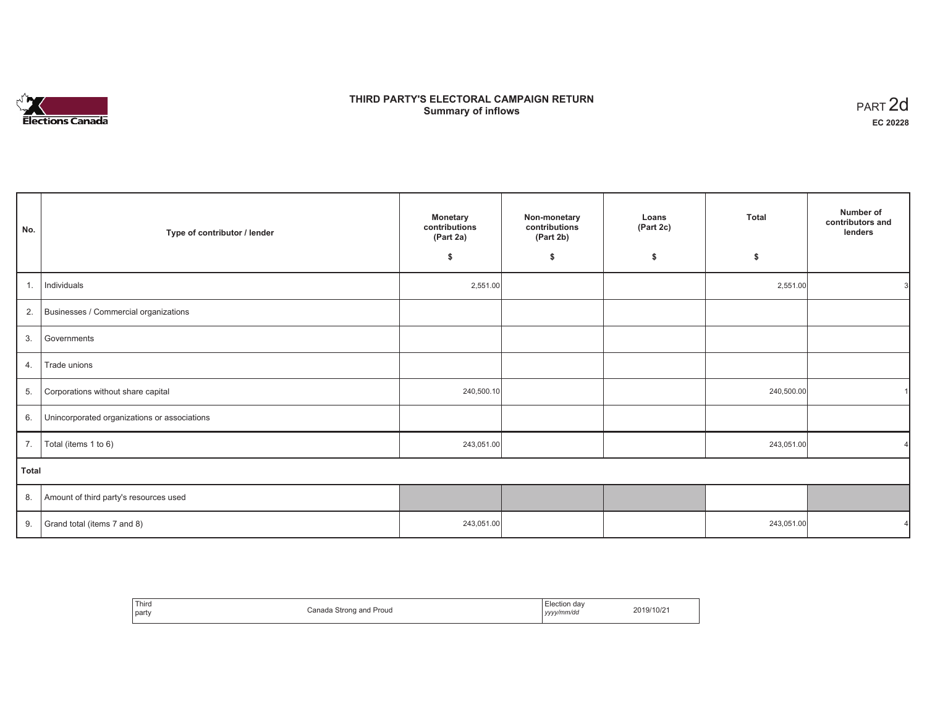# **Elections Canada**

## **THIRD PARTY'S ELECTORAL CAMPAIGN RETURN Summary of inflows**

| PART <sub>2d</sub> |
|--------------------|
| EC 20228           |

| No.          | Type of contributor / lender                 | <b>Monetary</b><br>contributions<br>(Part 2a) | Non-monetary<br>contributions<br>(Part 2b) | Loans<br>(Part 2c) | <b>Total</b> | Number of<br>contributors and<br>lenders |
|--------------|----------------------------------------------|-----------------------------------------------|--------------------------------------------|--------------------|--------------|------------------------------------------|
|              |                                              | \$                                            | \$                                         | \$                 | \$           |                                          |
| 1.           | Individuals                                  | 2,551.00                                      |                                            |                    | 2,551.00     |                                          |
| 2.           | Businesses / Commercial organizations        |                                               |                                            |                    |              |                                          |
| 3.           | Governments                                  |                                               |                                            |                    |              |                                          |
| 4.           | Trade unions                                 |                                               |                                            |                    |              |                                          |
| 5.           | Corporations without share capital           | 240,500.10                                    |                                            |                    | 240,500.00   |                                          |
| 6.           | Unincorporated organizations or associations |                                               |                                            |                    |              |                                          |
| 7.           | Total (items 1 to 6)                         | 243,051.00                                    |                                            |                    | 243,051.00   |                                          |
| <b>Total</b> |                                              |                                               |                                            |                    |              |                                          |
| 8.           | Amount of third party's resources used       |                                               |                                            |                    |              |                                          |
| 9.           | Grand total (items 7 and 8)                  | 243,051.00                                    |                                            |                    | 243,051.00   |                                          |

| Third<br>party | Canada Strong and Proud | <i>∈</i> lection da\<br>$\cdots$<br>yyyy/mm/dd | 2019/10/21 |
|----------------|-------------------------|------------------------------------------------|------------|
|----------------|-------------------------|------------------------------------------------|------------|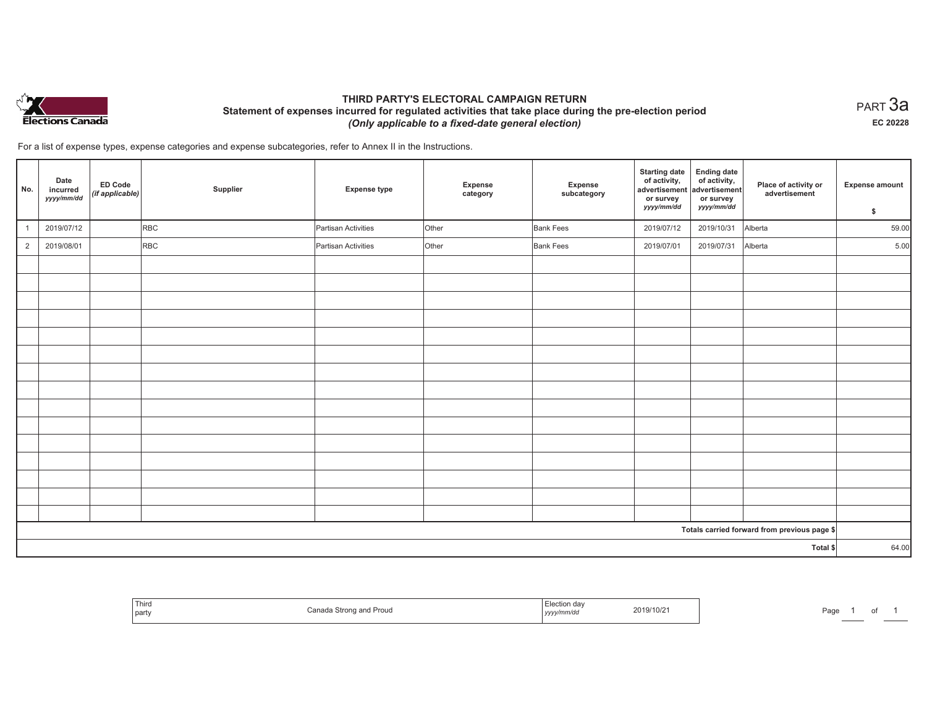

### **THIRD PARTY'S ELECTORAL CAMPAIGN RETURN Statement of expenses incurred for regulated activities that take place during the pre-election period**  *(Only applicable to a fixed-date general election)*

 $_{\sf PART}$ 3a **EC 20228**

For a list of expense types, expense categories and expense subcategories, refer to Annex II in the Instructions.

| No.            | Date<br>incurred<br>yyyy/mm/dd | ED Code<br>(if applicable) | Supplier   | <b>Expense type</b> | Expense<br>category | Expense<br>subcategory | <b>Starting date</b><br>of activity,<br>advertisement<br>or survey<br>yyyy/mm/dd | <b>Ending date</b><br>of activity,<br>advertisement<br>or survey<br>yyyy/mm/dd | Place of activity or<br>advertisement        | <b>Expense amount</b><br>\$ |
|----------------|--------------------------------|----------------------------|------------|---------------------|---------------------|------------------------|----------------------------------------------------------------------------------|--------------------------------------------------------------------------------|----------------------------------------------|-----------------------------|
| $\overline{1}$ | 2019/07/12                     |                            | <b>RBC</b> | Partisan Activities | Other               | <b>Bank Fees</b>       | 2019/07/12                                                                       | 2019/10/31                                                                     | Alberta                                      | 59.00                       |
| $\overline{2}$ | 2019/08/01                     |                            | <b>RBC</b> | Partisan Activities | Other               | <b>Bank Fees</b>       | 2019/07/01                                                                       | 2019/07/31                                                                     | Alberta                                      | 5.00                        |
|                |                                |                            |            |                     |                     |                        |                                                                                  |                                                                                |                                              |                             |
|                |                                |                            |            |                     |                     |                        |                                                                                  |                                                                                |                                              |                             |
|                |                                |                            |            |                     |                     |                        |                                                                                  |                                                                                |                                              |                             |
|                |                                |                            |            |                     |                     |                        |                                                                                  |                                                                                |                                              |                             |
|                |                                |                            |            |                     |                     |                        |                                                                                  |                                                                                |                                              |                             |
|                |                                |                            |            |                     |                     |                        |                                                                                  |                                                                                |                                              |                             |
|                |                                |                            |            |                     |                     |                        |                                                                                  |                                                                                |                                              |                             |
|                |                                |                            |            |                     |                     |                        |                                                                                  |                                                                                |                                              |                             |
|                |                                |                            |            |                     |                     |                        |                                                                                  |                                                                                |                                              |                             |
|                |                                |                            |            |                     |                     |                        |                                                                                  |                                                                                |                                              |                             |
|                |                                |                            |            |                     |                     |                        |                                                                                  |                                                                                |                                              |                             |
|                |                                |                            |            |                     |                     |                        |                                                                                  |                                                                                |                                              |                             |
|                |                                |                            |            |                     |                     |                        |                                                                                  |                                                                                |                                              |                             |
|                |                                |                            |            |                     |                     |                        |                                                                                  |                                                                                |                                              |                             |
|                |                                |                            |            |                     |                     |                        |                                                                                  |                                                                                |                                              |                             |
|                |                                |                            |            |                     |                     |                        |                                                                                  |                                                                                | Totals carried forward from previous page \$ |                             |
|                |                                |                            |            |                     |                     |                        |                                                                                  |                                                                                | Total \$                                     | 64.00                       |

| ---<br>Third<br>part | "<br>Strong and<br>roud<br>uai | . Electic<br>2019/10/2 <sup>.</sup><br>yyyy <i>mmv</i> ur | $D \cap \alpha$<br>'au<br>$-1$ |
|----------------------|--------------------------------|-----------------------------------------------------------|--------------------------------|
|----------------------|--------------------------------|-----------------------------------------------------------|--------------------------------|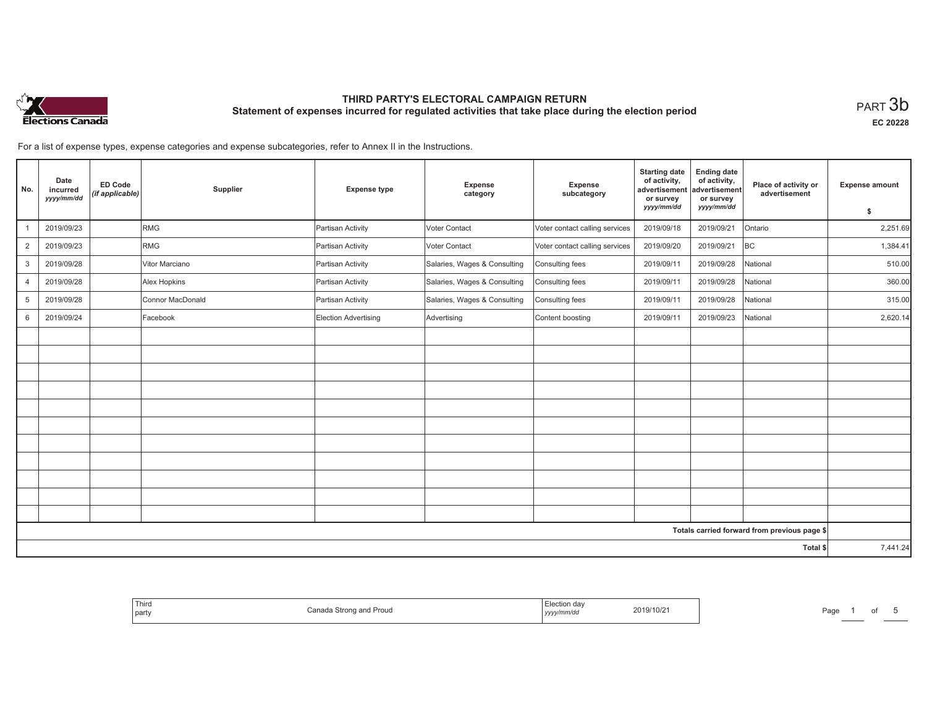

**EC 20228**

For a list of expense types, expense categories and expense subcategories, refer to Annex II in the Instructions.

| No.            | Date<br>incurred<br>yyyy/mm/dd | <b>ED Code</b><br>(if applicable) | Supplier         | <b>Expense type</b>  | Expense<br>category          | Expense<br>subcategory         | <b>Starting date</b><br>of activity,<br>advertisement<br>or survey | <b>Ending date</b><br>of activity,<br>advertisement<br>or survey | Place of activity or<br>advertisement        | <b>Expense amount</b> |
|----------------|--------------------------------|-----------------------------------|------------------|----------------------|------------------------------|--------------------------------|--------------------------------------------------------------------|------------------------------------------------------------------|----------------------------------------------|-----------------------|
|                |                                |                                   |                  |                      |                              |                                | yyyy/mm/dd                                                         | yyyy/mm/dd                                                       |                                              | \$                    |
|                | 2019/09/23                     |                                   | RMG              | Partisan Activity    | <b>Voter Contact</b>         | Voter contact calling services | 2019/09/18                                                         | 2019/09/21                                                       | Ontario                                      | 2,251.69              |
| $\overline{2}$ | 2019/09/23                     |                                   | <b>RMG</b>       | Partisan Activity    | Voter Contact                | Voter contact calling services | 2019/09/20                                                         | 2019/09/21                                                       | BC                                           | 1,384.41              |
| 3              | 2019/09/28                     |                                   | Vitor Marciano   | Partisan Activity    | Salaries, Wages & Consulting | Consulting fees                | 2019/09/11                                                         | 2019/09/28                                                       | National                                     | 510.00                |
| $\overline{4}$ | 2019/09/28                     |                                   | Alex Hopkins     | Partisan Activity    | Salaries, Wages & Consulting | Consulting fees                | 2019/09/11                                                         | 2019/09/28                                                       | National                                     | 360.00                |
| 5              | 2019/09/28                     |                                   | Connor MacDonald | Partisan Activity    | Salaries, Wages & Consulting | Consulting fees                | 2019/09/11                                                         | 2019/09/28                                                       | National                                     | 315.00                |
| 6              | 2019/09/24                     |                                   | Facebook         | Election Advertising | Advertising                  | Content boosting               | 2019/09/11                                                         | 2019/09/23                                                       | National                                     | 2,620.14              |
|                |                                |                                   |                  |                      |                              |                                |                                                                    |                                                                  |                                              |                       |
|                |                                |                                   |                  |                      |                              |                                |                                                                    |                                                                  |                                              |                       |
|                |                                |                                   |                  |                      |                              |                                |                                                                    |                                                                  |                                              |                       |
|                |                                |                                   |                  |                      |                              |                                |                                                                    |                                                                  |                                              |                       |
|                |                                |                                   |                  |                      |                              |                                |                                                                    |                                                                  |                                              |                       |
|                |                                |                                   |                  |                      |                              |                                |                                                                    |                                                                  |                                              |                       |
|                |                                |                                   |                  |                      |                              |                                |                                                                    |                                                                  |                                              |                       |
|                |                                |                                   |                  |                      |                              |                                |                                                                    |                                                                  |                                              |                       |
|                |                                |                                   |                  |                      |                              |                                |                                                                    |                                                                  |                                              |                       |
|                |                                |                                   |                  |                      |                              |                                |                                                                    |                                                                  |                                              |                       |
|                |                                |                                   |                  |                      |                              |                                |                                                                    |                                                                  |                                              |                       |
|                |                                |                                   |                  |                      |                              |                                |                                                                    |                                                                  | Totals carried forward from previous page \$ |                       |
|                |                                |                                   |                  |                      |                              |                                |                                                                    |                                                                  | Total \$                                     | 7,441.24              |

| Election dav<br>2019/10/21<br>yyyy/mm/dd | ร Strong and Proud<br>Canada | Third<br>party |
|------------------------------------------|------------------------------|----------------|
|------------------------------------------|------------------------------|----------------|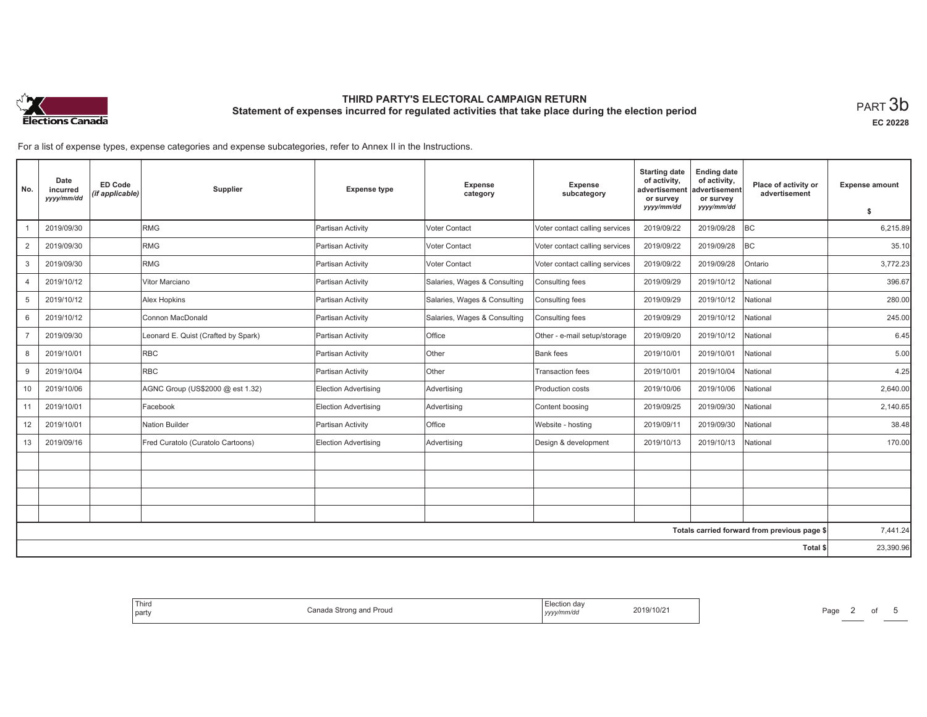

**EC 20228**

For a list of expense types, expense categories and expense subcategories, refer to Annex II in the Instructions.

| No.            | Date<br>incurred<br>yyyy/mm/dd | ED Code<br>(if applicable) | Supplier                            | <b>Expense type</b>         | Expense<br>category          | Expense<br>subcategory         | <b>Starting date</b><br>of activity,<br>advertisement<br>or survey | <b>Ending date</b><br>of activity,<br>advertisement<br>or survey | Place of activity or<br>advertisement        | <b>Expense amount</b> |
|----------------|--------------------------------|----------------------------|-------------------------------------|-----------------------------|------------------------------|--------------------------------|--------------------------------------------------------------------|------------------------------------------------------------------|----------------------------------------------|-----------------------|
|                |                                |                            |                                     |                             |                              |                                | yyyy/mm/dd                                                         | yyyy/mm/dd                                                       |                                              | \$                    |
|                | 2019/09/30                     |                            | <b>RMG</b>                          | Partisan Activity           | Voter Contact                | Voter contact calling services | 2019/09/22                                                         | 2019/09/28                                                       | <b>BC</b>                                    | 6,215.89              |
| 2              | 2019/09/30                     |                            | RMG                                 | Partisan Activity           | Voter Contact                | Voter contact calling services | 2019/09/22                                                         | 2019/09/28                                                       | <b>BC</b>                                    | 35.10                 |
| 3              | 2019/09/30                     |                            | RMG                                 | Partisan Activity           | Voter Contact                | Voter contact calling services | 2019/09/22                                                         | 2019/09/28                                                       | Ontario                                      | 3,772.23              |
| $\overline{4}$ | 2019/10/12                     |                            | Vitor Marciano                      | Partisan Activity           | Salaries, Wages & Consulting | Consulting fees                | 2019/09/29                                                         | 2019/10/12                                                       | National                                     | 396.67                |
| 5              | 2019/10/12                     |                            | Alex Hopkins                        | Partisan Activity           | Salaries, Wages & Consulting | Consulting fees                | 2019/09/29                                                         | 2019/10/12                                                       | National                                     | 280.00                |
| 6              | 2019/10/12                     |                            | Connon MacDonald                    | Partisan Activity           | Salaries, Wages & Consulting | Consulting fees                | 2019/09/29                                                         | 2019/10/12                                                       | National                                     | 245.00                |
| $\overline{7}$ | 2019/09/30                     |                            | Leonard E. Quist (Crafted by Spark) | Partisan Activity           | Office                       | Other - e-mail setup/storage   | 2019/09/20                                                         | 2019/10/12                                                       | National                                     | 6.45                  |
| 8              | 2019/10/01                     |                            | <b>RBC</b>                          | Partisan Activity           | <b>Other</b>                 | Bank fees                      | 2019/10/01                                                         | 2019/10/01                                                       | National                                     | 5.00                  |
| 9              | 2019/10/04                     |                            | <b>RBC</b>                          | Partisan Activity           | Other                        | <b>Transaction fees</b>        | 2019/10/01                                                         | 2019/10/04                                                       | National                                     | 4.25                  |
| 10             | 2019/10/06                     |                            | AGNC Group (US\$2000 @ est 1.32)    | Election Advertising        | Advertising                  | Production costs               | 2019/10/06                                                         | 2019/10/06                                                       | National                                     | 2,640.00              |
| 11             | 2019/10/01                     |                            | Facebook                            | Election Advertising        | Advertising                  | Content boosing                | 2019/09/25                                                         | 2019/09/30                                                       | National                                     | 2,140.65              |
| 12             | 2019/10/01                     |                            | Nation Builder                      | Partisan Activity           | Office                       | Website - hosting              | 2019/09/11                                                         | 2019/09/30                                                       | National                                     | 38.48                 |
| 13             | 2019/09/16                     |                            | Fred Curatolo (Curatolo Cartoons)   | <b>Election Advertising</b> | Advertising                  | Design & development           | 2019/10/13                                                         | 2019/10/13                                                       | National                                     | 170.00                |
|                |                                |                            |                                     |                             |                              |                                |                                                                    |                                                                  |                                              |                       |
|                |                                |                            |                                     |                             |                              |                                |                                                                    |                                                                  |                                              |                       |
|                |                                |                            |                                     |                             |                              |                                |                                                                    |                                                                  |                                              |                       |
|                |                                |                            |                                     |                             |                              |                                |                                                                    |                                                                  |                                              |                       |
|                |                                |                            |                                     |                             |                              |                                |                                                                    |                                                                  | Totals carried forward from previous page \$ | 7,441.24              |
|                |                                |                            |                                     |                             |                              |                                |                                                                    |                                                                  | Total \$                                     | 23,390.96             |

| ua:<br>2019/10/2<br>∽anٽ<br>i Strong and Proud<br>v/mm/du<br>.<br>.<br>,,,,, |
|------------------------------------------------------------------------------|
|------------------------------------------------------------------------------|

Page 2 of 5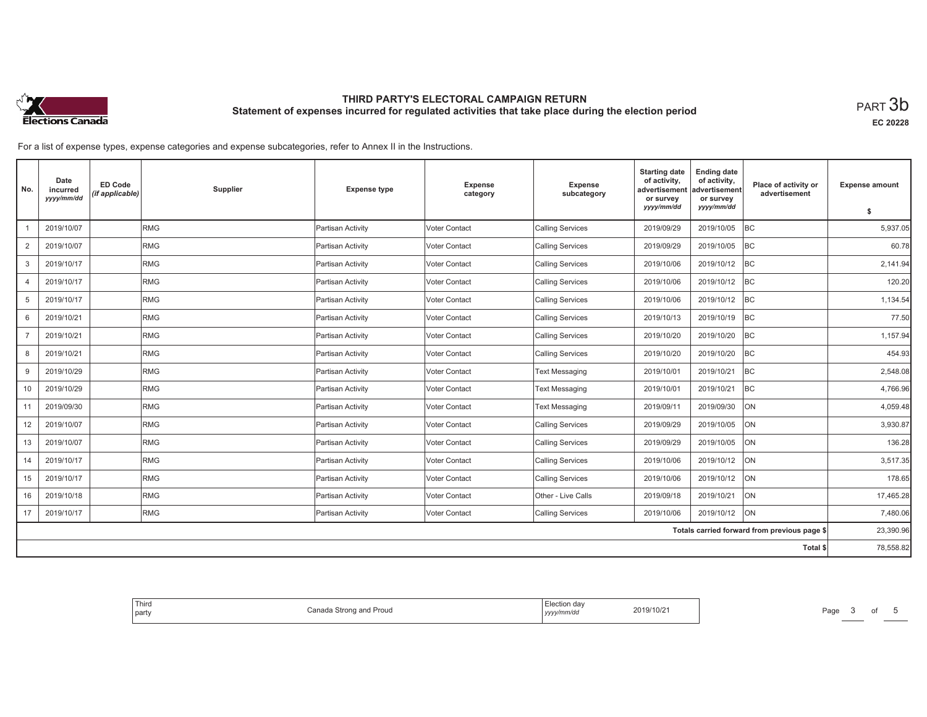

**EC 20228**

For a list of expense types, expense categories and expense subcategories, refer to Annex II in the Instructions.

| No.            | Date<br>incurred<br>yyyy/mm/dd | <b>ED Code</b><br>(if applicable) | Supplier   | <b>Expense type</b> | Expense<br>category | Expense<br>subcategory  | <b>Starting date</b><br>of activity,<br>advertisement<br>or survey | <b>Ending date</b><br>of activity,<br>advertisement<br>or survey | Place of activity or<br>advertisement        | <b>Expense amount</b> |
|----------------|--------------------------------|-----------------------------------|------------|---------------------|---------------------|-------------------------|--------------------------------------------------------------------|------------------------------------------------------------------|----------------------------------------------|-----------------------|
|                |                                |                                   |            |                     |                     |                         | yyyy/mm/dd                                                         | yyyy/mm/dd                                                       |                                              | \$                    |
|                | 2019/10/07                     |                                   | RMG        | Partisan Activity   | Voter Contact       | <b>Calling Services</b> | 2019/09/29                                                         | 2019/10/05                                                       | <b>BC</b>                                    | 5,937.05              |
| 2              | 2019/10/07                     |                                   | RMG        | Partisan Activity   | Voter Contact       | <b>Calling Services</b> | 2019/09/29                                                         | 2019/10/05                                                       | BC                                           | 60.78                 |
| 3              | 2019/10/17                     |                                   | RMG        | Partisan Activity   | Voter Contact       | <b>Calling Services</b> | 2019/10/06                                                         | 2019/10/12                                                       | BC                                           | 2,141.94              |
| $\overline{4}$ | 2019/10/17                     |                                   | RMG        | Partisan Activity   | Voter Contact       | <b>Calling Services</b> | 2019/10/06                                                         | 2019/10/12                                                       | BC                                           | 120.20                |
| 5              | 2019/10/17                     |                                   | RMG        | Partisan Activity   | Voter Contact       | <b>Calling Services</b> | 2019/10/06                                                         | 2019/10/12                                                       | BC                                           | 1,134.54              |
| 6              | 2019/10/21                     |                                   | <b>RMG</b> | Partisan Activity   | Voter Contact       | <b>Calling Services</b> | 2019/10/13                                                         | 2019/10/19                                                       | <b>BC</b>                                    | 77.50                 |
| $\overline{7}$ | 2019/10/21                     |                                   | RMG        | Partisan Activity   | Voter Contact       | <b>Calling Services</b> | 2019/10/20                                                         | 2019/10/20                                                       | BC                                           | 1,157.94              |
| 8              | 2019/10/21                     |                                   | RMG        | Partisan Activity   | Voter Contact       | <b>Calling Services</b> | 2019/10/20                                                         | 2019/10/20                                                       | <b>BC</b>                                    | 454.93                |
| 9              | 2019/10/29                     |                                   | RMG        | Partisan Activity   | Voter Contact       | <b>Text Messaging</b>   | 2019/10/01                                                         | 2019/10/21                                                       | BC                                           | 2,548.08              |
| 10             | 2019/10/29                     |                                   | RMG        | Partisan Activity   | Voter Contact       | <b>Text Messaging</b>   | 2019/10/01                                                         | 2019/10/21                                                       | <b>BC</b>                                    | 4,766.96              |
| 11             | 2019/09/30                     |                                   | RMG        | Partisan Activity   | Voter Contact       | <b>Text Messaging</b>   | 2019/09/11                                                         | 2019/09/30                                                       | <b>ON</b>                                    | 4,059.48              |
| 12             | 2019/10/07                     |                                   | RMG        | Partisan Activity   | Voter Contact       | <b>Calling Services</b> | 2019/09/29                                                         | 2019/10/05                                                       | ON                                           | 3,930.87              |
| 13             | 2019/10/07                     |                                   | RMG        | Partisan Activity   | Voter Contact       | <b>Calling Services</b> | 2019/09/29                                                         | 2019/10/05                                                       | ON                                           | 136.28                |
| 14             | 2019/10/17                     |                                   | RMG        | Partisan Activity   | Voter Contact       | <b>Calling Services</b> | 2019/10/06                                                         | 2019/10/12                                                       | <b>ON</b>                                    | 3,517.35              |
| 15             | 2019/10/17                     |                                   | RMG        | Partisan Activity   | Voter Contact       | <b>Calling Services</b> | 2019/10/06                                                         | 2019/10/12                                                       | ON                                           | 178.65                |
| 16             | 2019/10/18                     |                                   | RMG        | Partisan Activity   | Voter Contact       | Other - Live Calls      | 2019/09/18                                                         | 2019/10/21                                                       | <b>ON</b>                                    | 17,465.28             |
| 17             | 2019/10/17                     |                                   | RMG        | Partisan Activity   | Voter Contact       | <b>Calling Services</b> | 2019/10/06                                                         | 2019/10/12                                                       | <b>ON</b>                                    | 7,480.06              |
|                |                                |                                   |            |                     |                     |                         |                                                                    |                                                                  | Totals carried forward from previous page \$ | 23,390.96             |
|                |                                |                                   |            |                     |                     |                         |                                                                    |                                                                  | Total \$                                     | 78,558.82             |

| ∴ Election ∩ | Thira              |
|--------------|--------------------|
|              |                    |
| 2019/10/21   | Canao              |
|              | a Strong and Proud |
| yyyy/mm/dd   | party              |
|              | .                  |
|              | .                  |

Page 3 of 5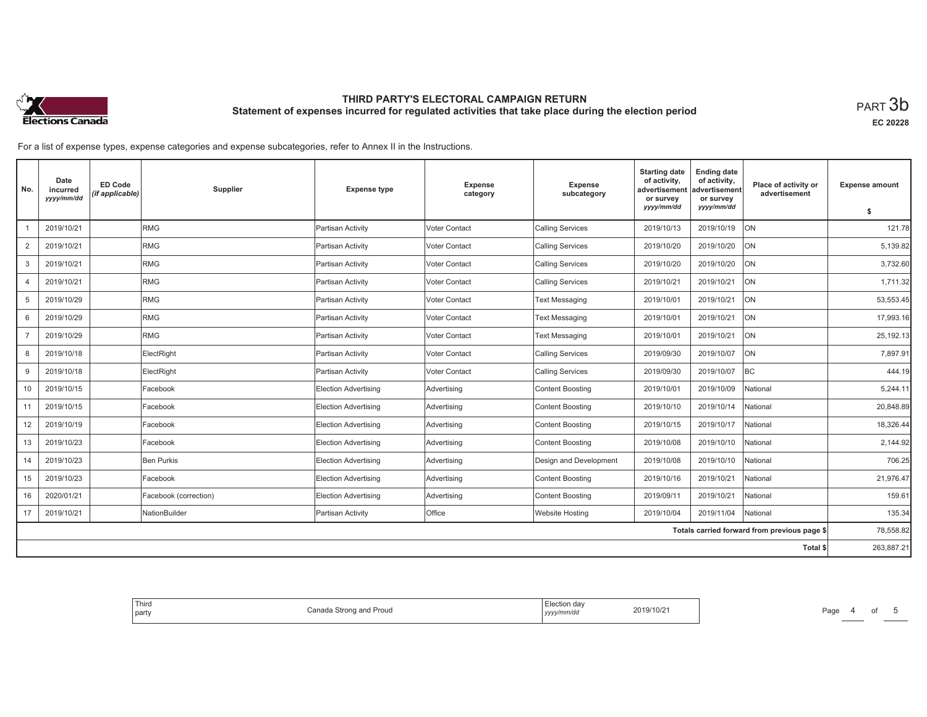

**EC 20228**

For a list of expense types, expense categories and expense subcategories, refer to Annex II in the Instructions.

| No.            | Date<br>incurred<br>yyyy/mm/dd | <b>ED Code</b><br>(if applicable) | Supplier              | <b>Expense type</b>  | Expense<br>category | <b>Expense</b><br>subcategory | <b>Starting date</b><br>of activity,<br>advertisement<br>or survey | <b>Ending date</b><br>of activity,<br>advertisement<br>or survey | Place of activity or<br>advertisement        | <b>Expense amount</b> |
|----------------|--------------------------------|-----------------------------------|-----------------------|----------------------|---------------------|-------------------------------|--------------------------------------------------------------------|------------------------------------------------------------------|----------------------------------------------|-----------------------|
|                |                                |                                   |                       |                      |                     |                               | yyyy/mm/dd                                                         | yyyy/mm/dd                                                       |                                              | \$                    |
|                | 2019/10/21                     |                                   | RMG                   | Partisan Activity    | Voter Contact       | <b>Calling Services</b>       | 2019/10/13                                                         | 2019/10/19                                                       | <b>ON</b>                                    | 121.78                |
| $\overline{2}$ | 2019/10/21                     |                                   | RMG                   | Partisan Activity    | Voter Contact       | <b>Calling Services</b>       | 2019/10/20                                                         | 2019/10/20                                                       | <b>ON</b>                                    | 5,139.82              |
| 3              | 2019/10/21                     |                                   | <b>RMG</b>            | Partisan Activity    | Voter Contact       | <b>Calling Services</b>       | 2019/10/20                                                         | 2019/10/20                                                       | <b>ON</b>                                    | 3.732.60              |
| 4              | 2019/10/21                     |                                   | RMG                   | Partisan Activity    | Voter Contact       | <b>Calling Services</b>       | 2019/10/21                                                         | 2019/10/21                                                       | <b>ON</b>                                    | 1,711.32              |
| 5              | 2019/10/29                     |                                   | RMG                   | Partisan Activity    | Voter Contact       | <b>Text Messaging</b>         | 2019/10/01                                                         | 2019/10/21                                                       | <b>ON</b>                                    | 53,553.45             |
| 6              | 2019/10/29                     |                                   | <b>RMG</b>            | Partisan Activity    | Voter Contact       | <b>Text Messaging</b>         | 2019/10/01                                                         | 2019/10/21                                                       | <b>ON</b>                                    | 17,993.16             |
|                | 2019/10/29                     |                                   | RMG                   | Partisan Activity    | Voter Contact       | <b>Text Messaging</b>         | 2019/10/01                                                         | 2019/10/21                                                       | ON                                           | 25,192.13             |
| 8              | 2019/10/18                     |                                   | ElectRight            | Partisan Activity    | Voter Contact       | <b>Calling Services</b>       | 2019/09/30                                                         | 2019/10/07                                                       | <b>ON</b>                                    | 7,897.91              |
| 9              | 2019/10/18                     |                                   | ElectRight            | Partisan Activity    | Voter Contact       | <b>Calling Services</b>       | 2019/09/30                                                         | 2019/10/07                                                       | <b>BC</b>                                    | 444.19                |
| 10             | 2019/10/15                     |                                   | Facebook              | Election Advertising | Advertising         | <b>Content Boosting</b>       | 2019/10/01                                                         | 2019/10/09                                                       | National                                     | 5,244.11              |
| 11             | 2019/10/15                     |                                   | Facebook              | Election Advertising | Advertising         | <b>Content Boosting</b>       | 2019/10/10                                                         | 2019/10/14                                                       | National                                     | 20,848.89             |
| 12             | 2019/10/19                     |                                   | Facebook              | Election Advertising | Advertising         | <b>Content Boosting</b>       | 2019/10/15                                                         | 2019/10/17                                                       | National                                     | 18.326.44             |
| 13             | 2019/10/23                     |                                   | Facebook              | Election Advertising | Advertising         | <b>Content Boosting</b>       | 2019/10/08                                                         | 2019/10/10                                                       | National                                     | 2,144.92              |
| 14             | 2019/10/23                     |                                   | Ben Purkis            | Election Advertising | Advertising         | Design and Development        | 2019/10/08                                                         | 2019/10/10                                                       | National                                     | 706.25                |
| 15             | 2019/10/23                     |                                   | Facebook              | Election Advertising | Advertising         | <b>Content Boosting</b>       | 2019/10/16                                                         | 2019/10/21                                                       | National                                     | 21,976.47             |
| 16             | 2020/01/21                     |                                   | Facebook (correction) | Election Advertising | Advertising         | <b>Content Boosting</b>       | 2019/09/11                                                         | 2019/10/21                                                       | National                                     | 159.61                |
| 17             | 2019/10/21                     |                                   | NationBuilder         | Partisan Activity    | Office              | <b>Website Hosting</b>        | 2019/10/04                                                         | 2019/11/04                                                       | National                                     | 135.34                |
|                |                                |                                   |                       |                      |                     |                               |                                                                    |                                                                  | Totals carried forward from previous page \$ | 78,558.82             |
|                |                                |                                   |                       |                      |                     |                               |                                                                    |                                                                  | Total \$                                     | 263,887.21            |

| lection dav<br>2019/10/21<br>Proud<br>Canada Strong and<br>yyyy/mm/dd<br>the contract of the contract of the contract of |  |
|--------------------------------------------------------------------------------------------------------------------------|--|
|--------------------------------------------------------------------------------------------------------------------------|--|

Page 4 of 5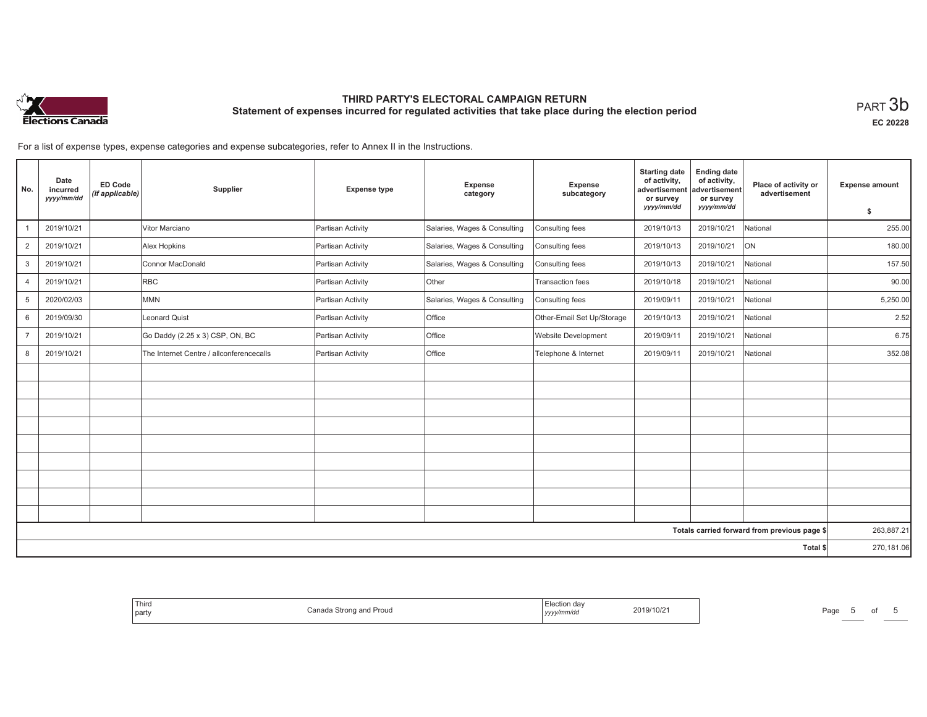

**EC 20228**

Page 5 of 5

For a list of expense types, expense categories and expense subcategories, refer to Annex II in the Instructions.

| No.            | Date<br>incurred<br>yyyy/mm/dd | <b>ED Code</b><br>(if applicable) | Supplier                                 | <b>Expense type</b> | Expense<br>category          | Expense<br>subcategory     | <b>Starting date</b><br>of activity,<br>advertisement<br>or survey | <b>Ending date</b><br>of activity,<br>advertisement<br>or survey | Place of activity or<br>advertisement        | <b>Expense amount</b> |
|----------------|--------------------------------|-----------------------------------|------------------------------------------|---------------------|------------------------------|----------------------------|--------------------------------------------------------------------|------------------------------------------------------------------|----------------------------------------------|-----------------------|
|                |                                |                                   |                                          |                     |                              |                            | yyyy/mm/dd                                                         | yyyy/mm/dd                                                       |                                              | \$                    |
|                | 2019/10/21                     |                                   | Vitor Marciano                           | Partisan Activity   | Salaries, Wages & Consulting | Consulting fees            | 2019/10/13                                                         | 2019/10/21                                                       | National                                     | 255.00                |
| $\overline{2}$ | 2019/10/21                     |                                   | Alex Hopkins                             | Partisan Activity   | Salaries, Wages & Consulting | Consulting fees            | 2019/10/13                                                         | 2019/10/21                                                       | ON                                           | 180.00                |
| 3              | 2019/10/21                     |                                   | Connor MacDonald                         | Partisan Activity   | Salaries, Wages & Consulting | Consulting fees            | 2019/10/13                                                         | 2019/10/21                                                       | National                                     | 157.50                |
| 4              | 2019/10/21                     |                                   | <b>RBC</b>                               | Partisan Activity   | Other                        | Transaction fees           | 2019/10/18                                                         | 2019/10/21                                                       | National                                     | 90.00                 |
| 5              | 2020/02/03                     |                                   | <b>MMN</b>                               | Partisan Activity   | Salaries, Wages & Consulting | Consulting fees            | 2019/09/11                                                         | 2019/10/21                                                       | National                                     | 5,250.00              |
| 6              | 2019/09/30                     |                                   | <b>Leonard Quist</b>                     | Partisan Activity   | Office                       | Other-Email Set Up/Storage | 2019/10/13                                                         | 2019/10/21                                                       | National                                     | 2.52                  |
| $\overline{7}$ | 2019/10/21                     |                                   | Go Daddy (2.25 x 3) CSP, ON, BC          | Partisan Activity   | Office                       | <b>Website Development</b> | 2019/09/11                                                         | 2019/10/21                                                       | National                                     | 6.75                  |
| 8              | 2019/10/21                     |                                   | The Internet Centre / allconferencecalls | Partisan Activity   | Office                       | Telephone & Internet       | 2019/09/11                                                         | 2019/10/21                                                       | National                                     | 352.08                |
|                |                                |                                   |                                          |                     |                              |                            |                                                                    |                                                                  |                                              |                       |
|                |                                |                                   |                                          |                     |                              |                            |                                                                    |                                                                  |                                              |                       |
|                |                                |                                   |                                          |                     |                              |                            |                                                                    |                                                                  |                                              |                       |
|                |                                |                                   |                                          |                     |                              |                            |                                                                    |                                                                  |                                              |                       |
|                |                                |                                   |                                          |                     |                              |                            |                                                                    |                                                                  |                                              |                       |
|                |                                |                                   |                                          |                     |                              |                            |                                                                    |                                                                  |                                              |                       |
|                |                                |                                   |                                          |                     |                              |                            |                                                                    |                                                                  |                                              |                       |
|                |                                |                                   |                                          |                     |                              |                            |                                                                    |                                                                  |                                              |                       |
|                |                                |                                   |                                          |                     |                              |                            |                                                                    |                                                                  |                                              |                       |
|                |                                |                                   |                                          |                     |                              |                            |                                                                    |                                                                  | Totals carried forward from previous page \$ | 263,887.21            |
|                |                                |                                   |                                          |                     |                              |                            |                                                                    |                                                                  | Total \$                                     | 270,181.06            |

| ⊡ection da∿<br>2019/10/21<br>Canada<br>Proud<br>. Strona<br>ope<br>yyyy/mm/dd<br>. |  |
|------------------------------------------------------------------------------------|--|
|------------------------------------------------------------------------------------|--|